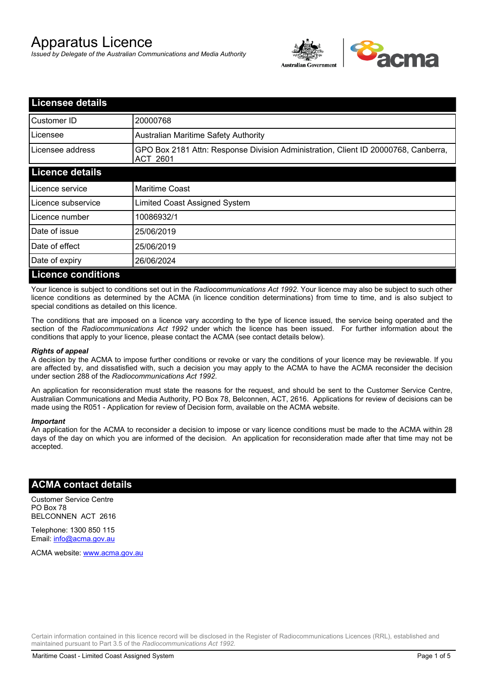# Apparatus Licence

*Issued by Delegate of the Australian Communications and Media Authority*



| <b>Licensee details</b>   |                                                                                                |  |
|---------------------------|------------------------------------------------------------------------------------------------|--|
| Customer ID               | 20000768                                                                                       |  |
| Licensee                  | <b>Australian Maritime Safety Authority</b>                                                    |  |
| Licensee address          | GPO Box 2181 Attn: Response Division Administration, Client ID 20000768, Canberra,<br>ACT 2601 |  |
| <b>Licence details</b>    |                                                                                                |  |
| Licence service           | <b>Maritime Coast</b>                                                                          |  |
| Licence subservice        | Limited Coast Assigned System                                                                  |  |
| Licence number            | 10086932/1                                                                                     |  |
| Date of issue             | 25/06/2019                                                                                     |  |
| Date of effect            | 25/06/2019                                                                                     |  |
| Date of expiry            | 26/06/2024                                                                                     |  |
| <b>Licence conditions</b> |                                                                                                |  |

Your licence is subject to conditions set out in the *Radiocommunications Act 1992*. Your licence may also be subject to such other licence conditions as determined by the ACMA (in licence condition determinations) from time to time, and is also subject to special conditions as detailed on this licence.

The conditions that are imposed on a licence vary according to the type of licence issued, the service being operated and the section of the *Radiocommunications Act 1992* under which the licence has been issued. For further information about the conditions that apply to your licence, please contact the ACMA (see contact details below).

#### *Rights of appeal*

A decision by the ACMA to impose further conditions or revoke or vary the conditions of your licence may be reviewable. If you are affected by, and dissatisfied with, such a decision you may apply to the ACMA to have the ACMA reconsider the decision under section 288 of the *Radiocommunications Act 1992*.

An application for reconsideration must state the reasons for the request, and should be sent to the Customer Service Centre, Australian Communications and Media Authority, PO Box 78, Belconnen, ACT, 2616. Applications for review of decisions can be made using the R051 - Application for review of Decision form, available on the ACMA website.

#### *Important*

An application for the ACMA to reconsider a decision to impose or vary licence conditions must be made to the ACMA within 28 days of the day on which you are informed of the decision. An application for reconsideration made after that time may not be accepted.

#### **ACMA contact details**

Customer Service Centre PO Box 78 BELCONNEN ACT 2616

Telephone: 1300 850 115 Email: info@acma.gov.au

ACMA website: www.acma.gov.au

Certain information contained in this licence record will be disclosed in the Register of Radiocommunications Licences (RRL), established and maintained pursuant to Part 3.5 of the *Radiocommunications Act 1992.*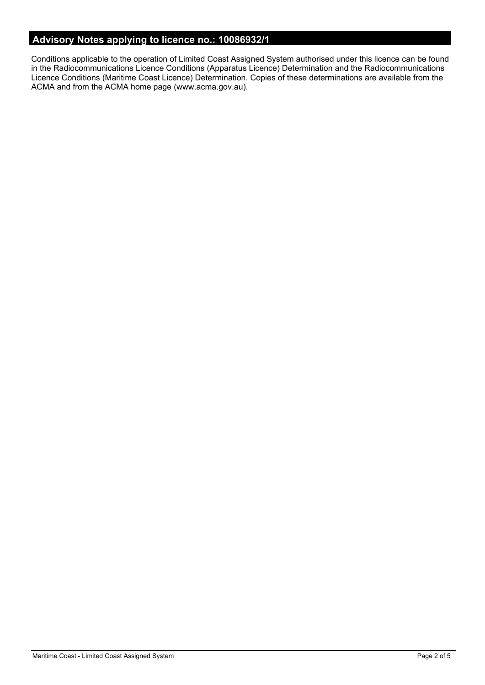# **Advisory Notes applying to licence no.: 10086932/1**

Conditions applicable to the operation of Limited Coast Assigned System authorised under this licence can be found in the Radiocommunications Licence Conditions (Apparatus Licence) Determination and the Radiocommunications Licence Conditions (Maritime Coast Licence) Determination. Copies of these determinations are available from the ACMA and from the ACMA home page (www.acma.gov.au).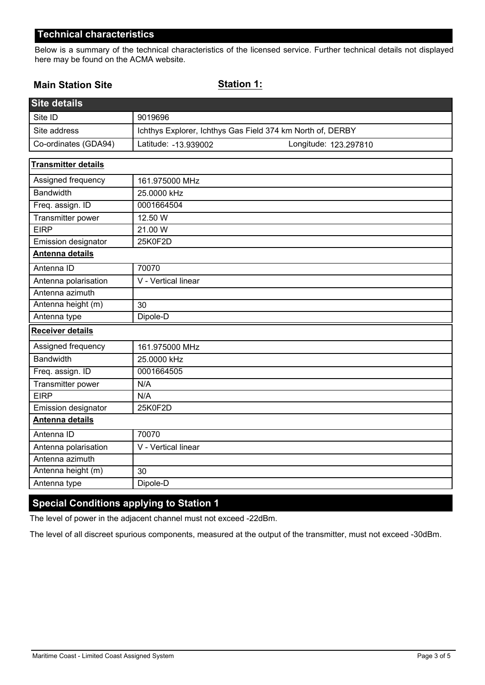### **Technical characteristics**

Below is a summary of the technical characteristics of the licensed service. Further technical details not displayed here may be found on the ACMA website.

### **Main Station Site**

#### **Station 1:**

| <b>Site details</b>        |                                                            |  |
|----------------------------|------------------------------------------------------------|--|
| Site ID                    | 9019696                                                    |  |
| Site address               | Ichthys Explorer, Ichthys Gas Field 374 km North of, DERBY |  |
| Co-ordinates (GDA94)       | Latitude: -13.939002<br>Longitude: 123.297810              |  |
| <b>Transmitter details</b> |                                                            |  |
| Assigned frequency         | 161.975000 MHz                                             |  |
| <b>Bandwidth</b>           | 25.0000 kHz                                                |  |
| Freq. assign. ID           | 0001664504                                                 |  |
| Transmitter power          | 12.50 W                                                    |  |
| <b>EIRP</b>                | 21.00 W                                                    |  |
| Emission designator        | 25K0F2D                                                    |  |
| Antenna details            |                                                            |  |
| Antenna ID                 | 70070                                                      |  |
| Antenna polarisation       | V - Vertical linear                                        |  |
| Antenna azimuth            |                                                            |  |
| Antenna height (m)         | 30                                                         |  |
| Antenna type               | Dipole-D                                                   |  |
| <b>Receiver details</b>    |                                                            |  |
| Assigned frequency         | 161.975000 MHz                                             |  |
| <b>Bandwidth</b>           | 25.0000 kHz                                                |  |
| Freq. assign. ID           | 0001664505                                                 |  |
| Transmitter power          | N/A                                                        |  |
| <b>EIRP</b>                | N/A                                                        |  |
| Emission designator        | 25K0F2D                                                    |  |
| Antenna details            |                                                            |  |
| Antenna ID                 | 70070                                                      |  |
| Antenna polarisation       | V - Vertical linear                                        |  |
| Antenna azimuth            |                                                            |  |
| Antenna height (m)         | 30                                                         |  |
| Antenna type               | Dipole-D                                                   |  |

# **Special Conditions applying to Station 1**

The level of power in the adjacent channel must not exceed -22dBm.

The level of all discreet spurious components, measured at the output of the transmitter, must not exceed -30dBm.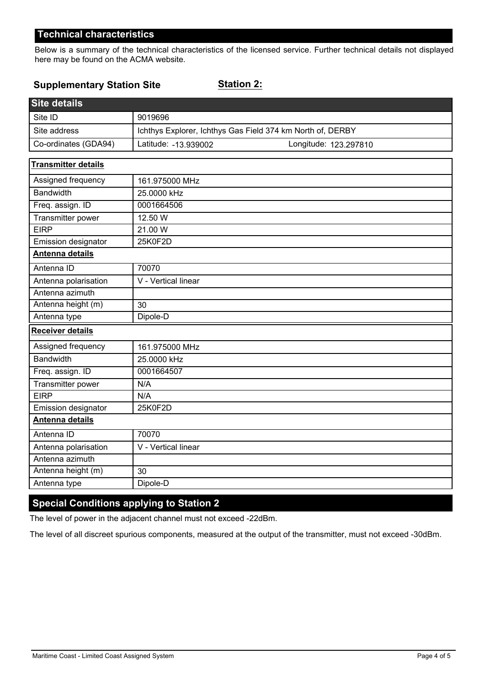# **Technical characteristics**

Below is a summary of the technical characteristics of the licensed service. Further technical details not displayed here may be found on the ACMA website.

#### **Supplementary Station Site**

**Station 2:**

| <b>Site details</b>        |                                                            |  |
|----------------------------|------------------------------------------------------------|--|
| Site ID                    | 9019696                                                    |  |
| Site address               | Ichthys Explorer, Ichthys Gas Field 374 km North of, DERBY |  |
| Co-ordinates (GDA94)       | Latitude: - 13.939002<br>Longitude: 123.297810             |  |
| <b>Transmitter details</b> |                                                            |  |
| Assigned frequency         | 161.975000 MHz                                             |  |
| <b>Bandwidth</b>           | 25.0000 kHz                                                |  |
| Freq. assign. ID           | 0001664506                                                 |  |
| Transmitter power          | 12.50 W                                                    |  |
| <b>EIRP</b>                | 21.00 W                                                    |  |
| Emission designator        | 25K0F2D                                                    |  |
| Antenna details            |                                                            |  |
| Antenna ID                 | 70070                                                      |  |
| Antenna polarisation       | V - Vertical linear                                        |  |
| Antenna azimuth            |                                                            |  |
| Antenna height (m)         | 30                                                         |  |
| Antenna type               | Dipole-D                                                   |  |
| <b>Receiver details</b>    |                                                            |  |
| Assigned frequency         | 161.975000 MHz                                             |  |
| <b>Bandwidth</b>           | 25.0000 kHz                                                |  |
| Freq. assign. ID           | 0001664507                                                 |  |
| Transmitter power          | N/A                                                        |  |
| <b>EIRP</b>                | N/A                                                        |  |
| Emission designator        | 25K0F2D                                                    |  |
| Antenna details            |                                                            |  |
| Antenna ID                 | 70070                                                      |  |
| Antenna polarisation       | V - Vertical linear                                        |  |
| Antenna azimuth            |                                                            |  |
| Antenna height (m)         | 30                                                         |  |
| Antenna type               | Dipole-D                                                   |  |

# **Special Conditions applying to Station 2**

The level of power in the adjacent channel must not exceed -22dBm.

The level of all discreet spurious components, measured at the output of the transmitter, must not exceed -30dBm.